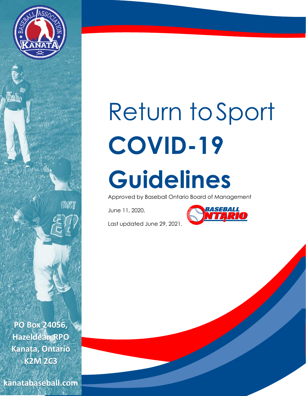

# Return toSport **COVID-19 Guidelines**

Approved by Baseball Ontario Board of Management

June 11, 2020,



Last updated June 29, 2021.

**PO Box 24056, Hazeldean RPO Kanata, Ontario K2M 2C3**

KAN 7

**kanatabaseball.com**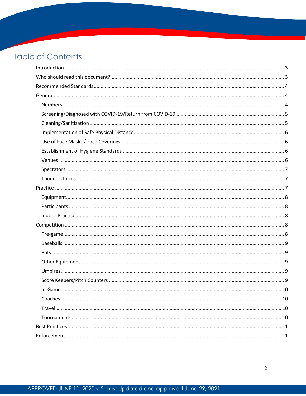## **Table of Contents**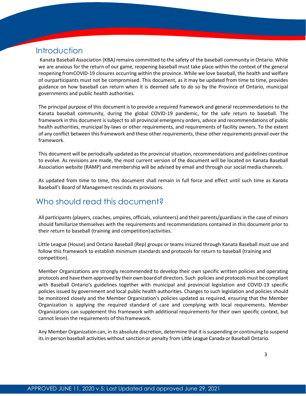## **Introduction**

<span id="page-2-0"></span>Kanata Baseball Association (KBA) remains committed to the safety of the baseball community in Ontario. While we are anxious for the return of our game, reopening baseball must take place within the context of the general reopening fromCOVID-19 closures occurring within the province. While we love baseball, the health and welfare of ourparticipants must not be compromised. This document, as it may be updated from time to time, provides guidance on how baseball can return when it is deemed safe to do so by the Province of Ontario, municipal governments and public health authorities.

The principal purpose of this document is to provide a required framework and general recommendations to the Kanata baseball community, during the global COVID-19 pandemic, for the safe return to baseball. The framework in this document is subject to all provincial emergency orders, advice and recommendations of public health authorities, municipal by-laws or other requirements, and requirements of facility owners. To the extent of any conflict between thisframework and these other requirements, these other requirements prevail over the framework.

This document will be periodically updated as the provincial situation, recommendations and guidelines continue to evolve. As revisions are made, the most current version of the document will be located on Kanata Baseball Association website (RAMP) and membership will be advised by email and through our social media channels.

As updated from time to time, this document shall remain in full force and effect until such time as Kanata Baseball's Board of Management rescinds its provisions.

## <span id="page-2-1"></span>Who should read this document?

All participants (players, coaches, umpires, officials, volunteers) and their parents/guardians in the case of minors should familiarize themselves with the requirements and recommendations contained in this document prior to their return to baseball (training and competition) activities.

Little League (House) and Ontario Baseball (Rep) groups or teams insured through Kanata Baseball must use and follow this framework to establish minimum standards and protocols for return to baseball (training and competition).

Member Organizations are strongly recommended to develop their own specific written policies and operating protocols and have them approved by their own board of directors. Such policies and protocols must be compliant with Baseball Ontario's guidelines together with municipal and provincial legislation and COVID-19 specific policies issued by government and local public health authorities. Changes to such legislation and policies should be monitored closely and the Member Organization's policies updated as required, ensuring that the Member Organization is applying the required standard of care and complying with local requirements. Member Organizations can supplement this framework with additional requirements for their own specific context, but cannot lessen the requirements of thisframework.

Any Member Organization can, in its absolute discretion, determine that it issuspending or continuing to suspend its in-person baseball activities without sanction or penalty from Little League Canada or Baseball Ontario.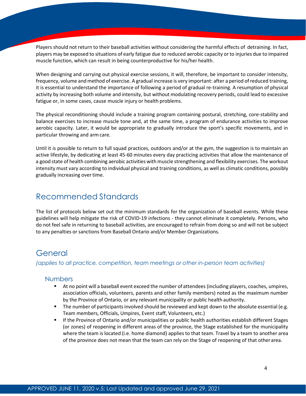Players should not return to their baseball activities without considering the harmful effects of detraining. In fact, players may be exposed to situations of early fatigue due to reduced aerobic capacity orto injuries due to impaired muscle function, which can result in being counterproductive for his/her health.

When designing and carrying out physical exercise sessions, it will, therefore, be important to consider intensity, frequency, volume and method of exercise. A gradual increase is very important: after a period ofreduced training, it is essential to understand the importance of following a period of gradual re-training. A resumption of physical activity by increasing both volume and intensity, but without modulating recovery periods, could lead to excessive fatigue or, in some cases, cause muscle injury or health problems.

The physical reconditioning should include a training program containing postural, stretching, core-stability and balance exercises to increase muscle tone and, at the same time, a program of endurance activities to improve aerobic capacity. Later, it would be appropriate to gradually introduce the sport's specific movements, and in particular throwing and armcare.

Until it is possible to return to full squad practices, outdoors and/or at the gym, the suggestion is to maintain an active lifestyle, by dedicating at least 45-60 minutes every day practicing activities that allow the maintenance of a good state of health combining aerobic activities with muscle strengthening and flexibility exercises. The workout intensity must vary according to individual physical and training conditions, as well as climatic conditions, possibly gradually increasing over time.

## <span id="page-3-0"></span>Recommended Standards

The list of protocols below set out the minimum standards for the organization of baseball events. While these guidelines will help mitigate the risk of COVID-19 infections - they cannot eliminate it completely. Persons, who do not feel safe in returning to baseball activities, are encouraged to refrain from doing so and will not be subject to any penalties or sanctions from Baseball Ontario and/or Member Organizations.

## <span id="page-3-1"></span>General

<span id="page-3-2"></span>*(applies to all practice, competition, team meetings or other in-person team activities)*

## Numbers

- At no point will a baseball event exceed the number of attendees (including players, coaches, umpires, association officials, volunteers, parents and other family members) noted as the maximum number by the Province of Ontario, or any relevant municipality or public health authority.
- The number of participants involved should be reviewed and kept down to the absolute essential (e.g. Team members, Officials, Umpires, Event staff, Volunteers, etc.)
- If the Province of Ontario and/or municipalities or public health authorities establish different Stages (or zones) of reopening in different areas of the province, the Stage established for the municipality where the team is located (i.e. home diamond) applies to that team. Travel by a team to another area of the province does not mean that the team can rely on the Stage of reopening of that otherarea.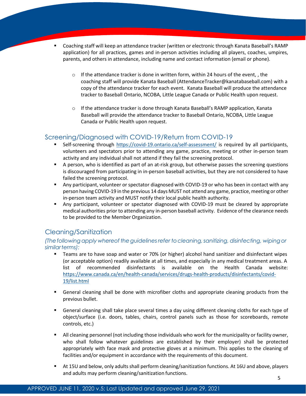- Coaching staff will keep an attendance tracker (written or electronic through Kanata Baseball's RAMP application) for all practices, games and in-person activities including all players, coaches, umpires, parents, and others in attendance, including name and contact information (email or phone).
	- $\circ$  If the attendance tracker is done in written form, within 24 hours of the event, , the coaching staff will provide Kanata Baseball (AttendanceTracker@kanatabaseball.com) with a copy of the attendance tracker for each event. Kanata Baseball will produce the attendance tracker to Baseball Ontario, NCOBA, Little League Canada or Public Health upon request.
	- $\circ$  If the attendance tracker is done through Kanata Baseball's RAMP application, Kanata Baseball will provide the attendance tracker to Baseball Ontario, NCOBA, Little League Canada or Public Health upon request.

## <span id="page-4-0"></span>Screening/Diagnosed with COVID-19/Return from COVID-19

- Self-screening through <https://covid-19.ontario.ca/self-assessment/> is required by all participants, volunteers and spectators prior to attending any game, practice, meeting or other in-person team activity and any individual shall not attend if they fail the screening protocol.
- A person, who is identified as part of an at-risk group, but otherwise passes the screening questions is discouraged from participating in in-person baseball activities, but they are not considered to have failed the screening protocol.
- Any participant, volunteer or spectator diagnosed with COVID-19 or who has been in contact with any person having COVID-19 in the previous 14 days MUST not attend any game, practice,meeting or other in-person team activity and MUST notify their local public health authority.
- Any participant, volunteer or spectator diagnosed with COVID-19 must be cleared by appropriate medical authorities prior to attending any in-person baseball activity. Evidence of the clearance needs to be provided to the Member Organization.

## <span id="page-4-1"></span>Cleaning/Sanitization

#### *(Thefollowingapply whereof theguidelinesrefer tocleaning,sanitizing, disinfecting, wipingor similarterms):*

- Teams are to have soap and water or 70% (or higher) alcohol hand sanitizer and disinfectant wipes (or acceptable option) readily available at all times, and especially in any medical treatment areas. A list of recommended disinfectants is available on the Health Canada website: [https://www.canada.ca/en/health-canada/services/drugs-health-products/disinfectants/covid-](https://www.canada.ca/en/health-canada/services/drugs-health-products/disinfectants/covid-19/list.html)[19/list.html](https://www.canada.ca/en/health-canada/services/drugs-health-products/disinfectants/covid-19/list.html)
- General cleaning shall be done with microfiber cloths and appropriate cleaning products from the previous bullet.
- General cleaning shall take place several times a day using different cleaning cloths for each type of object/surface (i.e. doors, tables, chairs, control panels such as those for scoreboards, remote controls, etc.)
- All cleaning personnel (not including those individuals who work for the municipality or facility owner, who shall follow whatever guidelines are established by their employer) shall be protected appropriately with face mask and protective gloves at a minimum. This applies to the cleaning of facilities and/or equipment in accordance with the requirements of this document.
- At 15U and below, only adults shall perform cleaning/sanitization functions. At 16U and above, players and adults may perform cleaning/sanitization functions.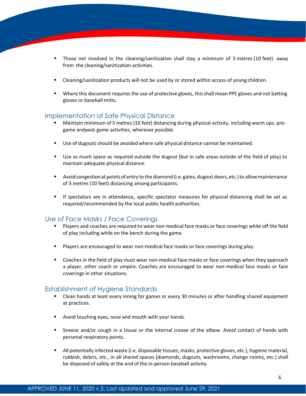- Those not involved in the cleaning/sanitization shall stay a minimum of 3 metres (10 feet) away from the cleaning/sanitization activities.
- Cleaning/sanitization products will not be used by or stored within access of young children.
- **•** Where this document requires the use of protective gloves, this shall mean PPE gloves and not batting gloves or baseball mitts.

#### <span id="page-5-0"></span>Implementation of Safe Physical Distance

- Maintain minimum of 3 metres (10 feet) distancing during physical activity, including warm ups, pregame andpost-game activities, wherever possible.
- Use of dugouts should be avoided where safe physical distance cannot be maintained.
- Use as much space as required outside the dugout (but in safe areas outside of the field of play) to maintain adequate physical distance.
- Avoid congestion at points of entry to the diamond (i.e. gates, dugout doors, etc.) to allow maintenance of 3 metres (10 feet) distancing among participants.
- **■** If spectators are in attendance, specific spectator measures for physical distancing shall be set as required/recommended by the local public healthauthorities.

## <span id="page-5-1"></span>Use of Face Masks / Face Coverings

- Players and coaches are required to wear non-medical face masks or face coverings while off the field of play including while on the bench during the game.
- Players are encouraged to wear non-medical face masks or face coverings during play.
- Coaches in the field of play must wear non-medical face masks or face coverings when they approach a player, other coach or umpire. Coaches are encouraged to wear non-medical face masks or face coverings in other situations.

#### <span id="page-5-2"></span>Establishment of Hygiene Standards

- Clean hands at least every inning for games or every 30 minutes or after handling shared equipment at practices.
- Avoid touching eyes, nose and mouth with your hands.
- **EXEC** Sneeze and/or cough in a tissue or the internal crease of the elbow. Avoid contact of hands with personal respiratory points.
- <span id="page-5-3"></span>▪ All potentially infected waste (i.e. disposable tissues, masks, protective gloves, etc.), hygiene material, rubbish, debris, etc., in all shared spaces (diamonds, dugouts, washrooms, change rooms, etc.) shall be disposed of safely at the end of the in-person baseball activity.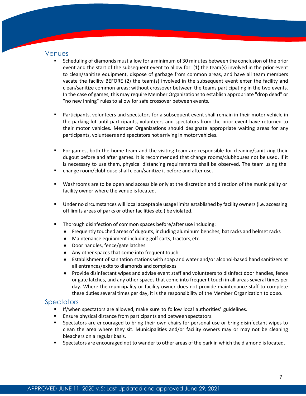#### Venues

- Scheduling of diamonds must allow for a minimum of 30 minutes between the conclusion of the prior event and the start of the subsequent event to allow for: (1) the team(s) involved in the prior event to clean/sanitize equipment, dispose of garbage from common areas, and have all team members vacate the facility BEFORE (2) the team(s) involved in the subsequent event enter the facility and clean/sanitize common areas; without crossover between the teams participating in the two events. In the case of games, this may require Member Organizations to establish appropriate "drop dead" or "no new inning" rules to allow for safe crossover between events.
- Participants, volunteers and spectators for a subsequent event shall remain in their motor vehicle in the parking lot until participants, volunteers and spectators from the prior event have returned to their motor vehicles. Member Organizations should designate appropriate waiting areas for any participants, volunteers and spectators not arriving in motor vehicles.
- For games, both the home team and the visiting team are responsible for cleaning/sanitizing their dugout before and after games. It is recommended that change rooms/clubhouses not be used. If it is necessary to use them, physical distancing requirements shall be observed. The team using the
- change room/clubhouse shall clean/sanitize it before and after use.
- Washrooms are to be open and accessible only at the discretion and direction of the municipality or facility owner where the venue is located.
- Under no circumstances will local acceptable usage limits established by facility owners (i.e. accessing off limits areas of parks or other facilities etc.) be violated.
- Thorough disinfection of common spaces before/after use including:
	- Frequently touched areas of dugouts, including aluminum benches, bat racks and helmet racks
	- Maintenance equipment including golf carts, tractors,etc.
	- ◆ Door handles, fence/gate latches
	- Any other spaces that come into frequent touch
	- Establishment of sanitation stations with soap and water and/or alcohol-based hand sanitizers at all entrances/exits to diamonds and complexes
	- Provide disinfectant wipes and advise event staff and volunteers to disinfect door handles, fence or gate latches, and any other spaces that come into frequent touch in all areas several times per day. Where the municipality or facility owner does not provide maintenance staff to complete these duties several times per day, it is the responsibility of the Member Organization to doso.

## <span id="page-6-0"></span>Spectators

- **■** If/when spectators are allowed, make sure to follow local authorities' guidelines.
- Ensure physical distance from participants and between spectators.
- Spectators are encouraged to bring their own chairs for personal use or bring disinfectant wipes to clean the area where they sit. Municipalities and/or facility owners may or may not be cleaning bleachers on a regular basis.
- <span id="page-6-1"></span>Spectators are encouraged not to wander to other areas of the park in which the diamond is located.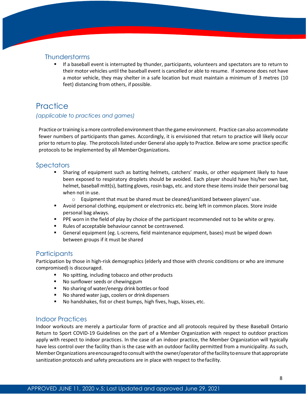## <span id="page-7-1"></span>**Thunderstorms**

■ If a baseball event is interrupted by thunder, participants, volunteers and spectators are to return to their motor vehicles until the baseball event is cancelled or able to resume. Ifsomeone does not have a motor vehicle, they may shelter in a safe location but must maintain a minimum of 3 metres (10 feet) distancing from others, if possible.

## <span id="page-7-0"></span>**Practice**

#### *(applicable to practices and games)*

Practice ortraining is amore controlled environment than the game environment. Practice can also accommodate fewer numbers of participants than games. Accordingly, it is envisioned that return to practice will likely occur priorto return to play. The protocolslisted under General also apply to Practice. Below are some practice specific protocols to be implemented by all MemberOrganizations.

## **Spectators**

- Sharing of equipment such as batting helmets, catchers' masks, or other equipment likely to have been exposed to respiratory droplets should be avoided. Each player should have his/her own bat, helmet, baseball mitt(s), batting gloves, rosin bags, etc. and store these items inside their personal bag when not in use.
	- $\circ$  Equipment that must be shared must be cleaned/sanitized between players' use.
- Avoid personal clothing, equipment or electronics etc. being left in common places. Store inside personal bag always.
- **•** PPE worn in the field of play by choice of the participant recommended not to be white or grey.
- Rules of acceptable behaviour cannot be contravened.
- General equipment (eg. L-screens, field maintenance equipment, bases) must be wiped down between groups if it must be shared

## <span id="page-7-2"></span>**Participants**

Participation by those in high-risk demographics (elderly and those with chronic conditions or who are immune compromised) is discouraged.

- No spitting, including tobacco and other products
- No sunflower seeds or chewing gum
- No sharing of water/energy drink bottles or food
- No shared water jugs, coolers or drink dispensers
- No handshakes, fist or chest bumps, high fives, hugs, kisses, etc.

#### <span id="page-7-3"></span>Indoor Practices

<span id="page-7-4"></span>Indoor workouts are merely a particular form of practice and all protocols required by these Baseball Ontario Return to Sport COVID-19 Guidelines on the part of a Member Organization with respect to outdoor practices apply with respect to indoor practices. In the case of an indoor practice, the Member Organization will typically have less control over the facility than is the case with an outdoor facility permitted from a municipality. As such, Member Organizations are encouraged to consult with the owner/operator of the facility to ensure that appropriate sanitization protocols and safety precautions are in place with respect to thefacility.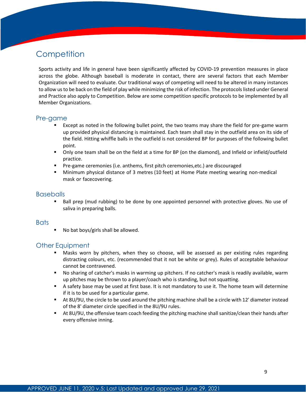## **Competition**

Sports activity and life in general have been significantly affected by COVID-19 prevention measures in place across the globe. Although baseball is moderate in contact, there are several factors that each Member Organization will need to evaluate. Our traditional ways of competing will need to be altered in many instances to allow usto be back on the field of play while minimizing the risk of infection. The protocolslisted under General and Practice also apply to Competition. Below are some competition specific protocols to be implemented by all Member Organizations.

## <span id="page-8-0"></span>Pre-game

- Except as noted in the following bullet point, the two teams may share the field for pre-game warm up provided physical distancing is maintained. Each team shall stay in the outfield area on its side of the field. Hitting whiffle balls in the outfield is not considered BP for purposes of the following bullet point.
- Only one team shall be on the field at a time for BP (on the diamond), and Infield or infield/outfield practice.
- Pre-game ceremonies (i.e. anthems, first pitch ceremonies, etc.) are discouraged
- Minimum physical distance of 3 metres (10 feet) at Home Plate meeting wearing non-medical mask or facecovering.

#### <span id="page-8-1"></span>**Baseballs**

■ Ball prep (mud rubbing) to be done by one appointed personnel with protective gloves. No use of saliva in preparing balls.

#### <span id="page-8-2"></span>**Bats**

No bat boys/girls shall be allowed.

## <span id="page-8-3"></span>Other Equipment

- Masks worn by pitchers, when they so choose, will be assessed as per existing rules regarding distracting colours, etc. (recommended that it not be white or grey). Rules of acceptable behaviour cannot be contravened.
- No sharing of catcher's masks in warming up pitchers. If no catcher's mask is readily available, warm up pitches may be thrown to a player/coach who is standing, but not squatting.
- A safety base may be used at first base. It is not mandatory to use it. The home team will determine if it is to be used for a particular game.
- At 8U/9U, the circle to be used around the pitching machine shall be a circle with 12' diameter instead of the 8' diameter circle specified in the 8U/9U rules.
- <span id="page-8-4"></span>■ At 8U/9U, the offensive team coach feeding the pitching machine shall sanitize/clean their hands after every offensive inning.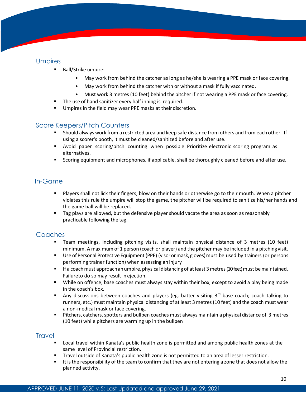## **Umpires**

- Ball/Strike umpire:
	- May work from behind the catcher as long as he/she is wearing a PPE mask or face covering.
	- May work from behind the catcher with or without a mask if fully vaccinated.
	- Must work 3 metres (10 feet) behind the pitcher if not wearing a PPE mask or face covering.
- The use of hand sanitizer every half inning is required.
- Umpires in the field may wear PPE masks at their discretion.

## <span id="page-9-0"></span>Score Keepers/Pitch Counters

- Should always work from a restricted area and keep safe distance from others and from each other. If using a scorer's booth, it must be cleaned/sanitized before and after use.
- Avoid paper scoring/pitch counting when possible. Prioritize electronic scoring program as alternatives.
- Scoring equipment and microphones, if applicable, shall be thoroughly cleaned before and after use.

## <span id="page-9-1"></span>In-Game

- Players shall not lick their fingers, blow on their hands or otherwise go to their mouth. When a pitcher violates this rule the umpire will stop the game, the pitcher will be required to sanitize his/her hands and the game ball will be replaced.
- Tag plays are allowed, but the defensive player should vacate the area as soon as reasonably practicable following the tag.

## <span id="page-9-2"></span>Coaches

- Team meetings, including pitching visits, shall maintain physical distance of 3 metres (10 feet) minimum. A maximum of 1 person (coach or player) and the pitcher may be included in a pitchingvisit.
- Use of Personal Protective Equipment (PPE) (visor or mask, gloves) must be used by trainers (or persons performing trainer function) when assessing an injury
- If a coach must approach an umpire, physical distancing of at least 3 metres (10 feet) must be maintained. Failureto do so may result in ejection.
- While on offence, base coaches must always stay within their box, except to avoid a play being made in the coach's box.
- **■** Any discussions between coaches and players (eg. batter visiting  $3<sup>rd</sup>$  base coach; coach talking to runners, etc.) must maintain physical distancing of at least 3 metres (10 feet) and the coach must wear a non-medical mask or face covering.
- Pitchers, catchers, spotters and bullpen coaches must always maintain a physical distance of 3 metres (10 feet) while pitchers are warming up in the bullpen

## <span id="page-9-4"></span><span id="page-9-3"></span>**Travel**

- Local travel within Kanata's public health zone is permitted and among public health zones at the same level of Provincial restriction.
- **•** Travel outside of Kanata's public health zone is not permitted to an area of lesser restriction.
- It is the responsibility of the team to confirm that they are not entering a zone that does not allow the planned activity.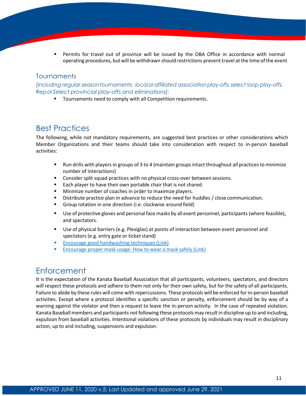Permits for travel out of province will be issued by the OBA Office in accordance with normal operating procedures, but will be withdrawn should restrictions preventtravel at the time ofthe event

#### <span id="page-10-0"></span>**Tournaments**

*(Including regular season tournaments, localor affiliated associationplay-offs,select loop play-offs, ReporSelect provincial play-offs and eliminations):*

■ Tournaments need to comply with all Competition requirements.

## Best Practices

The following, while not mandatory requirements, are suggested best practices or other considerations which Member Organizations and their teams should take into consideration with respect to in-person baseball activities:

- Run drills with players in groups of 3 to 4 (maintain groups intact throughout all practices to minimize number of interactions)
- **EXECONS** Consider split squad practices with no physical cross-over between sessions.
- Each player to have their own portable chair that is not shared.
- Minimize number of coaches in order to maximize players.
- **E** Distribute practice plan in advance to reduce the need for huddles / close communication.
- Group rotation in one direction (i.e. clockwise around field)
- Use of protective gloves and personal face masks by all event personnel, participants (where feasible), and spectators.
- Use of physical barriers (e.g. Plexiglas) at points of interaction between event personnel and spectators (e.g. entry gate or ticket stand)
- Encourage [good handwashing](https://www.who.int/gpsc/5may/How_To_HandWash_Poster.pdf) techniques (Link)
- **Encourage proper mask [usage: How](https://www.canada.ca/en/public-health/services/publications/diseases-conditions/covid-19-safely-use-non-medical-mask-face-covering.html) to wear a mask safely (Link)**

## <span id="page-10-1"></span>**Enforcement**

It is the expectation of the Kanata Baseball Association that all participants, volunteers, spectators, and directors will respect these protocols and adhere to them not only for their own safety, but for the safety of all participants. Failure to abide by these rules will come with repercussions. These protocols will be enforced for in-person baseball activities. Except where a protocol identifies a specific sanction or penalty, enforcement should be by way of a warning against the violator and then a request to leave the in-person activity. In the case of repeated violation. Kanata Baseball members and participants not following these protocols may result in discipline up to and including, expulsion from baseball activities. Intentional violations of these protocols by individuals may result in disciplinary action, up to and including, suspensions and expulsion.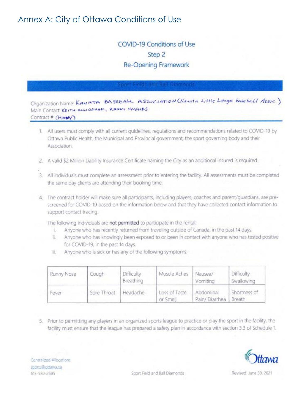## Annex A: City of Ottawa Conditions of Use

## **COVID-19 Conditions of Use** Step 2 **Re-Opening Framework**

Organization Name: KANATA BASEBALL ASSOCIATION (Kanata Little League base ball Assoc.) Main Contact. KEITH ALLINGHAM, RANDY HUGHES Contract # (MANY)

- 1. All users must comply with all current quidelines, regulations and recommendations related to COVID-19 by Ottawa Public Health, the Municipal and Provincial government, the sport governing body and their Association.
- 2. A valid \$2 Million Liability Insurance Certificate naming the City as an additional insured is required.
- 3. All individuals must complete an assessment prior to entering the facility. All assessments must be completed the same day clients are attending their booking time.
- 4. The contract holder will make sure all participants, including players, coaches and parent/guardians, are prescreened for COVID-19 based on the information below and that they have collected contact information to support contact tracing.

The following individuals are not permitted to participate in the rental:

- Anyone who has recently returned from traveling outside of Canada, in the past 14 days. Đ.
- Anyone who has knowingly been exposed to or been in contact with anyone who has tested positive īL. for COVID-19, in the past 14 days.
- Anyone who is sick or has any of the following symptoms: iii.

| Runny Nose | Cough       | Difficulty<br>Breathing | Muscle Aches              | Nausea/<br>Vomiting        | Difficulty<br>Swallowing |
|------------|-------------|-------------------------|---------------------------|----------------------------|--------------------------|
| Fever      | Sore Throat | Headache                | Loss of Taste<br>or Smell | Abdominal<br>Pain/Diarrhea | Shortness of<br>Breath   |

5. Prior to permitting any players in an organized sports league to practice or play the sport in the facility, the facility must ensure that the league has prepared a safety plan in accordance with section 3.3 of Schedule 1.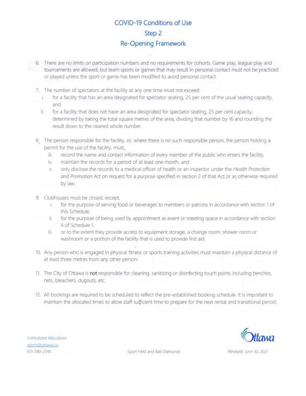## **COVID-19 Conditions of Use** Step<sub>2</sub> **Re-Opening Framework**

- 6. There are no limits on participation numbers and no requirements for cohorts. Game play, league play and tournaments are allowed, but team sports or games that may result in personal contact must not be practiced or played unless the sport or game has been modified to avoid personal contact.
	- 7. The number of spectators at the facility at any one time must not exceed:
		- for a facility that has an area designated for spectator seating, 25 per cent of the usual seating capacity, È. and
		- ii. for a facility that does not have an area designated for spectator seating, 25 per cent capacity, determined by taking the total square metres of the area, dividing that number by 16 and rounding the result down to the nearest whole number.
	- 8. The person responsible for the facility, or, where there is no such responsible person, the person holding a permit for the use of the facility, must,
		- record the name and contact information of every member of the public who enters the facility, 证.
		- ÎV. maintain the records for a period of at least one month, and
		- only disclose the records to a medical officer of health or an inspector under the Health Protection V. and Promotion Act on request for a purpose specified in section 2 of that Act or as otherwise required by law.
	- 9. Clubhouses must be closed, except,
		- for the purpose of serving food or beverages to members or patrons in accordance with section 1 of this Schedule.
		- ii. for the purpose of being used by appointment as event or meeting space in accordance with section 4 of Schedule 1,
		- or to the extent they provide access to equipment storage, a change room; shower room or iii. washroom or a portion of the facility that is used to provide first aid.
	- 10. Any person who is engaged in physical fitness or sports training activities must maintain a physical distance of at least three metres from any other person.
	- 11. The City of Ottawa is not responsible for cleaning, sanitizing or disinfecting touch points including benches, nets, bleachers, dugouts, etc.
	- 12. All bookings are required to be scheduled to reflect the pre-established booking schedule. It is important to maintain the allocated times to allow staff sufficient time to prepare for the next rental and transitional period.



Centralized Allocations sports@ottawa.ca 613-580-2595

Sport Field and Ball Diamonds

Revised June 30, 2021